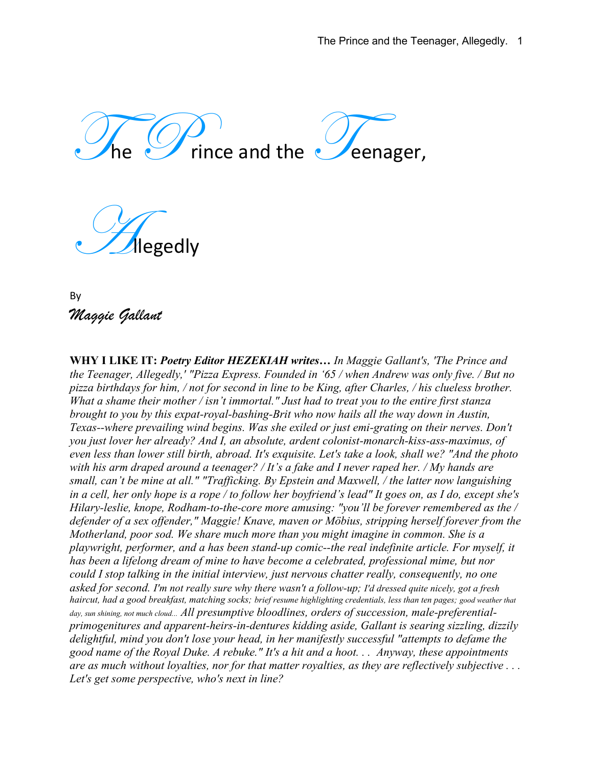rince and the  $\mathcal O$  eenager,

egedly

By *Maggie Gallant*

**WHY I LIKE IT:** *Poetry Editor HEZEKIAH writes… In Maggie Gallant's, 'The Prince and the Teenager, Allegedly,' "Pizza Express. Founded in '65 / when Andrew was only five. / But no pizza birthdays for him, / not for second in line to be King, after Charles, / his clueless brother. What a shame their mother / isn't immortal." Just had to treat you to the entire first stanza brought to you by this expat-royal-bashing-Brit who now hails all the way down in Austin, Texas--where prevailing wind begins. Was she exiled or just emi-grating on their nerves. Don't you just lover her already? And I, an absolute, ardent colonist-monarch-kiss-ass-maximus, of even less than lower still birth, abroad. It's exquisite. Let's take a look, shall we? "And the photo with his arm draped around a teenager? / It's a fake and I never raped her. / My hands are small, can't be mine at all." "Trafficking. By Epstein and Maxwell, / the latter now languishing in a cell, her only hope is a rope / to follow her boyfriend's lead" It goes on, as I do, except she's Hilary-leslie, knope, Rodham-to-the-core more amusing: "you'll be forever remembered as the / defender of a sex offender," Maggie! Knave, maven or Möbius, stripping herself forever from the Motherland, poor sod. We share much more than you might imagine in common. She is a playwright, performer, and a has been stand-up comic--the real indefinite article. For myself, it has been a lifelong dream of mine to have become a celebrated, professional mime, but nor could I stop talking in the initial interview, just nervous chatter really, consequently, no one asked for second. I'm not really sure why there wasn't a follow-up; I'd dressed quite nicely, got a fresh haircut, had a good breakfast, matching socks; brief resume highlighting credentials, less than ten pages; good weather that day, sun shining, not much cloud... All presumptive bloodlines, orders of succession, male-preferentialprimogenitures and apparent-heirs-in-dentures kidding aside, Gallant is searing sizzling, dizzily delightful, mind you don't lose your head, in her manifestly successful "attempts to defame the good name of the Royal Duke. A rebuke." It's a hit and a hoot. . . Anyway, these appointments are as much without loyalties, nor for that matter royalties, as they are reflectively subjective . . . Let's get some perspective, who's next in line?*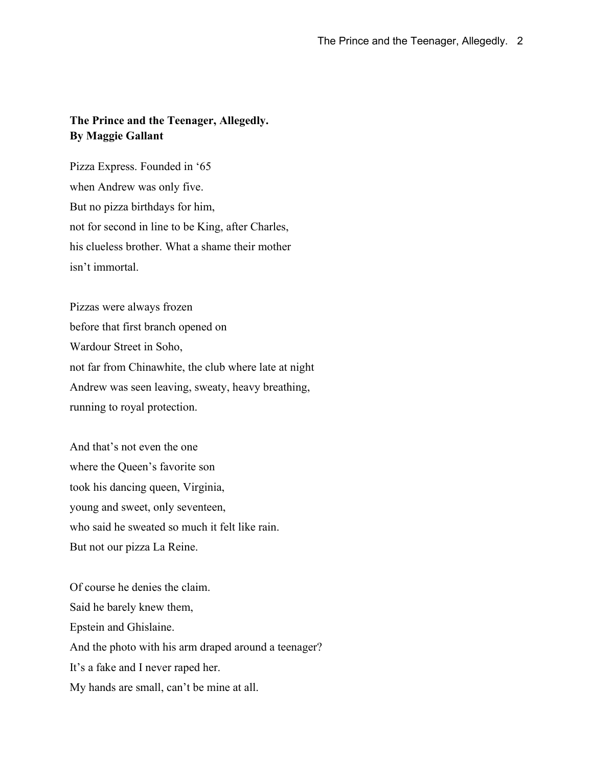## **The Prince and the Teenager, Allegedly. By Maggie Gallant**

Pizza Express. Founded in '65 when Andrew was only five. But no pizza birthdays for him, not for second in line to be King, after Charles, his clueless brother. What a shame their mother isn't immortal.

Pizzas were always frozen before that first branch opened on Wardour Street in Soho, not far from Chinawhite, the club where late at night Andrew was seen leaving, sweaty, heavy breathing, running to royal protection.

And that's not even the one where the Queen's favorite son took his dancing queen, Virginia, young and sweet, only seventeen, who said he sweated so much it felt like rain. But not our pizza La Reine.

Of course he denies the claim. Said he barely knew them, Epstein and Ghislaine. And the photo with his arm draped around a teenager? It's a fake and I never raped her. My hands are small, can't be mine at all.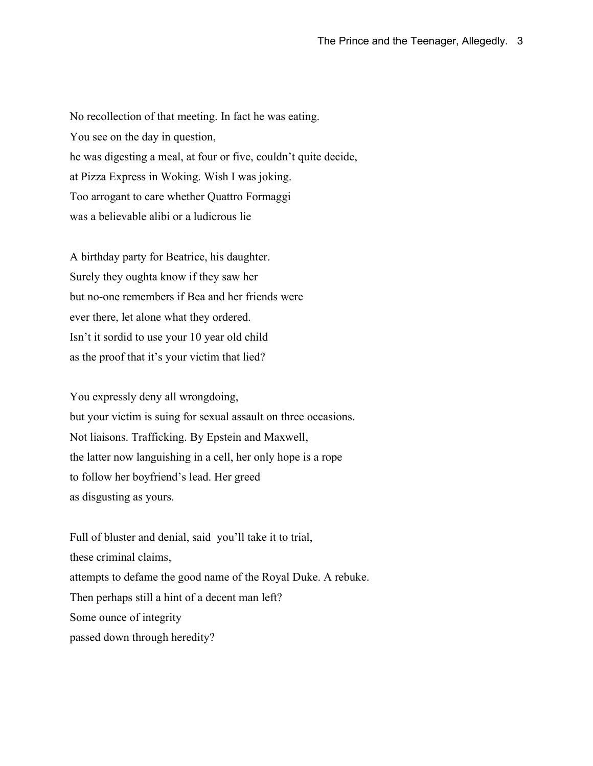No recollection of that meeting. In fact he was eating. You see on the day in question, he was digesting a meal, at four or five, couldn't quite decide, at Pizza Express in Woking. Wish I was joking. Too arrogant to care whether Quattro Formaggi was a believable alibi or a ludicrous lie

A birthday party for Beatrice, his daughter. Surely they oughta know if they saw her but no-one remembers if Bea and her friends were ever there, let alone what they ordered. Isn't it sordid to use your 10 year old child as the proof that it's your victim that lied?

You expressly deny all wrongdoing, but your victim is suing for sexual assault on three occasions. Not liaisons. Trafficking. By Epstein and Maxwell, the latter now languishing in a cell, her only hope is a rope to follow her boyfriend's lead. Her greed as disgusting as yours.

Full of bluster and denial, said you'll take it to trial, these criminal claims, attempts to defame the good name of the Royal Duke. A rebuke. Then perhaps still a hint of a decent man left? Some ounce of integrity passed down through heredity?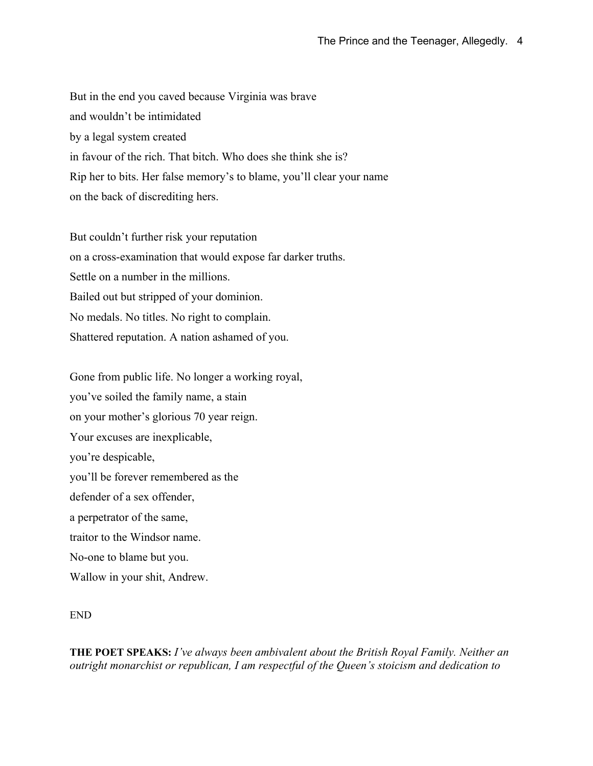But in the end you caved because Virginia was brave and wouldn't be intimidated by a legal system created in favour of the rich. That bitch. Who does she think she is? Rip her to bits. Her false memory's to blame, you'll clear your name on the back of discrediting hers.

But couldn't further risk your reputation on a cross-examination that would expose far darker truths. Settle on a number in the millions. Bailed out but stripped of your dominion. No medals. No titles. No right to complain. Shattered reputation. A nation ashamed of you.

Gone from public life. No longer a working royal, you've soiled the family name, a stain on your mother's glorious 70 year reign. Your excuses are inexplicable, you're despicable, you'll be forever remembered as the defender of a sex offender, a perpetrator of the same, traitor to the Windsor name. No-one to blame but you. Wallow in your shit, Andrew.

## END

**THE POET SPEAKS:** *I've always been ambivalent about the British Royal Family. Neither an outright monarchist or republican, I am respectful of the Queen's stoicism and dedication to*